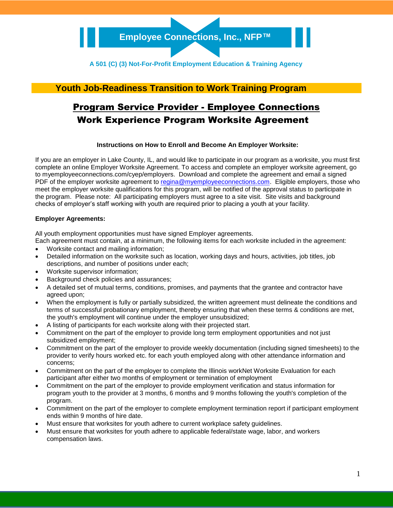### **Youth Job-Readiness Transition to Work Training Program**

# Program Service Provider - Employee Connections Work Experience Program Worksite Agreement

#### **Instructions on How to Enroll and Become An Employer Worksite:**

If you are an employer in Lake County, IL, and would like to participate in our program as a worksite, you must first complete an online Employer Worksite Agreement. To access and complete an employer worksite agreement, go to myemployeeconnections.com/cyep/employers. Download and complete the agreement and email a signed PDF of the employer worksite agreement to [regina@myemployeeconnections.com.](mailto:regina@myemployeeconnections.com) Eligible employers, those who meet the employer worksite qualifications for this program, will be notified of the approval status to participate in the program. Please note: All participating employers must agree to a site visit. Site visits and background checks of employer's staff working with youth are required prior to placing a youth at your facility.

#### **Employer Agreements:**

All youth employment opportunities must have signed Employer agreements.

- Each agreement must contain, at a minimum, the following items for each worksite included in the agreement:
- Worksite contact and mailing information;
- Detailed information on the worksite such as location, working days and hours, activities, job titles, job descriptions, and number of positions under each;
- Worksite supervisor information;
- Background check policies and assurances;
- A detailed set of mutual terms, conditions, promises, and payments that the grantee and contractor have agreed upon;
- When the employment is fully or partially subsidized, the written agreement must delineate the conditions and terms of successful probationary employment, thereby ensuring that when these terms & conditions are met, the youth's employment will continue under the employer unsubsidized;
- A listing of participants for each worksite along with their projected start.
- Commitment on the part of the employer to provide long term employment opportunities and not just subsidized employment;
- Commitment on the part of the employer to provide weekly documentation (including signed timesheets) to the provider to verify hours worked etc. for each youth employed along with other attendance information and concerns;
- Commitment on the part of the employer to complete the Illinois workNet Worksite Evaluation for each participant after either two months of employment or termination of employment
- Commitment on the part of the employer to provide employment verification and status information for program youth to the provider at 3 months, 6 months and 9 months following the youth's completion of the program.
- Commitment on the part of the employer to complete employment termination report if participant employment ends within 9 months of hire date.
- Must ensure that worksites for youth adhere to current workplace safety guidelines.
- Must ensure that worksites for youth adhere to applicable federal/state wage, labor, and workers compensation laws.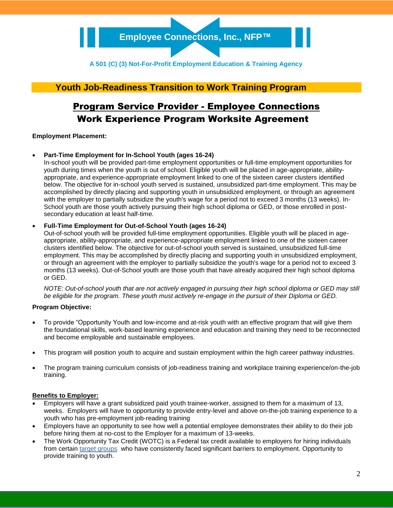### **Youth Job-Readiness Transition to Work Training Program**

## Program Service Provider - Employee Connections Work Experience Program Worksite Agreement

#### **Employment Placement:**

#### **Part-Time Employment for In-School Youth (ages 16-24)**

In-school youth will be provided part-time employment opportunities or full-time employment opportunities for youth during times when the youth is out of school. Eligible youth will be placed in age-appropriate, abilityappropriate, and experience-appropriate employment linked to one of the sixteen career clusters identified below. The objective for in-school youth served is sustained, unsubsidized part-time employment. This may be accomplished by directly placing and supporting youth in unsubsidized employment, or through an agreement with the employer to partially subsidize the youth's wage for a period not to exceed 3 months (13 weeks). In-School youth are those youth actively pursuing their high school diploma or GED, or those enrolled in postsecondary education at least half-time.

#### **Full-Time Employment for Out-of-School Youth (ages 16-24)**

Out-of-school youth will be provided full-time employment opportunities. Eligible youth will be placed in ageappropriate, ability-appropriate, and experience-appropriate employment linked to one of the sixteen career clusters identified below. The objective for out-of-school youth served is sustained, unsubsidized full-time employment. This may be accomplished by directly placing and supporting youth in unsubsidized employment, or through an agreement with the employer to partially subsidize the youth's wage for a period not to exceed 3 months (13 weeks). Out-of-School youth are those youth that have already acquired their high school diploma or GED.

*NOTE: Out-of-school youth that are not actively engaged in pursuing their high school diploma or GED may still be eligible for the program. These youth must actively re-engage in the pursuit of their Diploma or GED.*

#### **Program Objective:**

- To provide "Opportunity Youth and low-income and at-risk youth with an effective program that will give them the foundational skills, work-based learning experience and education and training they need to be reconnected and become employable and sustainable employees.
- This program will position youth to acquire and sustain employment within the high career pathway industries.
- The program training curriculum consists of job-readiness training and workplace training experience/on-the-job training.

#### **Benefits to Employer:**

- Employers will have a grant subsidized paid youth trainee-worker, assigned to them for a maximum of 13, weeks. Employers will have to opportunity to provide entry-level and above on-the-job training experience to a youth who has pre-employment job-reading training
- Employers have an opportunity to see how well a potential employee demonstrates their ability to do their job before hiring them at no-cost to the Employer for a maximum of 13-weeks.
- The Work Opportunity Tax Credit (WOTC) is a Federal tax credit available to employers for hiring individuals from certain [target groups](https://www.doleta.gov/business/incentives/opptax/eligible.cfm) who have consistently faced significant barriers to employment. Opportunity to provide training to youth.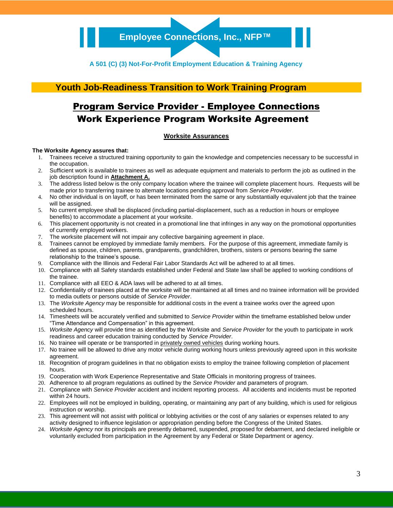## **Youth Job-Readiness Transition to Work Training Program**

## Program Service Provider - Employee Connections Work Experience Program Worksite Agreement

#### **Worksite Assurances**

#### **The Worksite Agency assures that:**

- 1. Trainees receive a structured training opportunity to gain the knowledge and competencies necessary to be successful in the occupation.
- 2. Sufficient work is available to trainees as well as adequate equipment and materials to perform the job as outlined in the job description found in **Attachment A.**
- 3. The address listed below is the only company location where the trainee will complete placement hours. Requests will be made prior to transferring trainee to alternate locations pending approval from *Service Provider*.
- 4. No other individual is on layoff, or has been terminated from the same or any substantially equivalent job that the trainee will be assigned.
- 5. No current employee shall be displaced (including partial-displacement, such as a reduction in hours or employee benefits) to accommodate a placement at your worksite.
- 6. This placement opportunity is not created in a promotional line that infringes in any way on the promotional opportunities of currently employed workers.
- 
- 7. The worksite placement will not impair any collective bargaining agreement in place.<br>8. Trainees cannot be employed by immediate family members. For the purpose of this Trainees cannot be employed by immediate family members. For the purpose of this agreement, immediate family is defined as spouse, children, parents, grandparents, grandchildren, brothers, sisters or persons bearing the same relationship to the trainee's spouse.
- 9. Compliance with the Illinois and Federal Fair Labor Standards Act will be adhered to at all times.
- 10. Compliance with all Safety standards established under Federal and State law shall be applied to working conditions of the trainee.
- 11. Compliance with all EEO & ADA laws will be adhered to at all times.
- 12. Confidentiality of trainees placed at the worksite will be maintained at all times and no trainee information will be provided to media outlets or persons outside of *Service Provider*.
- 13. The *Worksite Agency* may be responsible for additional costs in the event a trainee works over the agreed upon scheduled hours.
- 14. Timesheets will be accurately verified and submitted to *Service Provider* within the timeframe established below under "Time Attendance and Compensation" in this agreement.
- 15. *Worksite Agency* will provide time as identified by the Worksite and *Service Provider* for the youth to participate in work readiness and career education training conducted by *Service Provider*.
- 16. No trainee will operate or be transported in privately owned vehicles during working hours.
- 17. No trainee will be allowed to drive any motor vehicle during working hours unless previously agreed upon in this worksite agreement.
- 18. Recognition of program guidelines in that no obligation exists to employ the trainee following completion of placement hours.
- 19. Cooperation with Work Experience Representative and State Officials in monitoring progress of trainees.
- 20. Adherence to all program regulations as outlined by the *Service Provider* and parameters of program.
- 21. Compliance with *Service Provider* accident and incident reporting process. All accidents and incidents must be reported within 24 hours.
- 22. Employees will not be employed in building, operating, or maintaining any part of any building, which is used for religious instruction or worship.
- 23. This agreement will not assist with political or lobbying activities or the cost of any salaries or expenses related to any activity designed to influence legislation or appropriation pending before the Congress of the United States.
- 24. *Worksite Agency* nor its principals are presently debarred, suspended, proposed for debarment, and declared ineligible or voluntarily excluded from participation in the Agreement by any Federal or State Department or agency.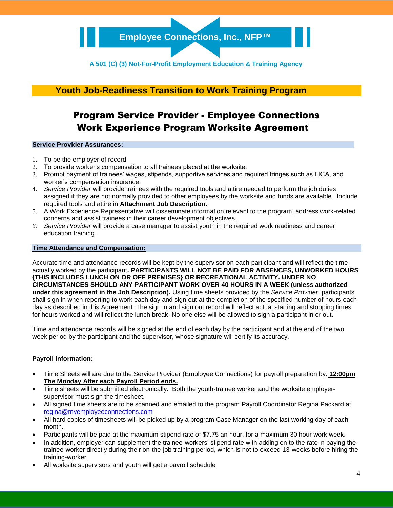### **Youth Job-Readiness Transition to Work Training Program**

## Program Service Provider - Employee Connections Work Experience Program Worksite Agreement

#### **Service Provider Assurances:**

- 1. To be the employer of record.
- 2. To provide worker's compensation to all trainees placed at the worksite.
- 3. Prompt payment of trainees' wages, stipends, supportive services and required fringes such as FICA, and worker's compensation insurance.
- 4. *Service Provider* will provide trainees with the required tools and attire needed to perform the job duties assigned if they are not normally provided to other employees by the worksite and funds are available. Include required tools and attire in **Attachment Job Description.**
- 5. A Work Experience Representative will disseminate information relevant to the program, address work-related concerns and assist trainees in their career development objectives.
- *6. Service Provider* will provide a case manager to assist youth in the required work readiness and career education training.

#### **Time Attendance and Compensation:**

Accurate time and attendance records will be kept by the supervisor on each participant and will reflect the time actually worked by the participant**. PARTICIPANTS WILL NOT BE PAID FOR ABSENCES, UNWORKED HOURS {THIS INCLUDES LUNCH ON OR OFF PREMISES} OR RECREATIONAL ACTIVITY. UNDER NO CIRCUMSTANCES SHOULD ANY PARTICIPANT WORK OVER 40 HOURS IN A WEEK (unless authorized under this agreement in the Job Description).** Using time sheets provided by the *Service Provider*, participants shall sign in when reporting to work each day and sign out at the completion of the specified number of hours each day as described in this Agreement. The sign in and sign out record will reflect actual starting and stopping times for hours worked and will reflect the lunch break. No one else will be allowed to sign a participant in or out.

Time and attendance records will be signed at the end of each day by the participant and at the end of the two week period by the participant and the supervisor, whose signature will certify its accuracy.

#### **Payroll Information:**

- Time Sheets will are due to the Service Provider (Employee Connections) for payroll preparation by: **12:00pm The Monday After each Payroll Period ends.**
- Time sheets will be submitted electronically. Both the youth-trainee worker and the worksite employersupervisor must sign the timesheet.
- All signed time sheets are to be scanned and emailed to the program Payroll Coordinator Regina Packard at [regina@myemployeeconnections.com](mailto:regina@myemployeeconnections.com)
- All hard copies of timesheets will be picked up by a program Case Manager on the last working day of each month.
- Participants will be paid at the maximum stipend rate of \$7.75 an hour, for a maximum 30 hour work week.
- In addition, employer can supplement the trainee-workers' stipend rate with adding on to the rate in paying the trainee-worker directly during their on-the-job training period, which is not to exceed 13-weeks before hiring the training-worker.
- All worksite supervisors and youth will get a payroll schedule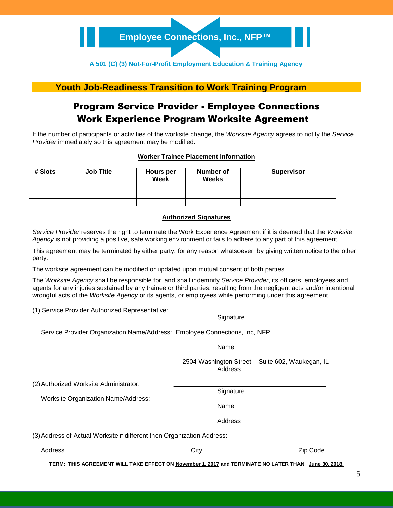### **Youth Job-Readiness Transition to Work Training Program**

## Program Service Provider - Employee Connections Work Experience Program Worksite Agreement

If the number of participants or activities of the worksite change, the *Worksite Agency* agrees to notify the *Service Provider* immediately so this agreement may be modified.

#### **Worker Trainee Placement Information**

| # Slots | <b>Job Title</b> | Hours per<br>Week | Number of<br><b>Weeks</b> | <b>Supervisor</b> |
|---------|------------------|-------------------|---------------------------|-------------------|
|         |                  |                   |                           |                   |
|         |                  |                   |                           |                   |
|         |                  |                   |                           |                   |

#### **Authorized Signatures**

*Service Provider* reserves the right to terminate the Work Experience Agreement if it is deemed that the *Worksite Agency* is not providing a positive, safe working environment or fails to adhere to any part of this agreement.

This agreement may be terminated by either party, for any reason whatsoever, by giving written notice to the other party.

The worksite agreement can be modified or updated upon mutual consent of both parties.

The *Worksite Agency* shall be responsible for, and shall indemnify *Service Provider*, its officers, employees and agents for any injuries sustained by any trainee or third parties, resulting from the negligent acts and/or intentional wrongful acts of the *Worksite Agency* or its agents, or employees while performing under this agreement.

(1) Service Provider Authorized Representative:

|                                                                                      | Signature                                                   |          |
|--------------------------------------------------------------------------------------|-------------------------------------------------------------|----------|
| Service Provider Organization Name/Address: Employee Connections, Inc, NFP           |                                                             |          |
|                                                                                      | Name                                                        |          |
|                                                                                      | 2504 Washington Street - Suite 602, Waukegan, IL<br>Address |          |
| (2) Authorized Worksite Administrator:<br><b>Worksite Organization Name/Address:</b> | Signature<br>Name<br>Address                                |          |
| (3) Address of Actual Worksite if different then Organization Address:               |                                                             |          |
| Address                                                                              | City                                                        | Zip Code |

**TERM: THIS AGREEMENT WILL TAKE EFFECT ON November 1, 2017 and TERMINATE NO LATER THAN June 30, 2018.**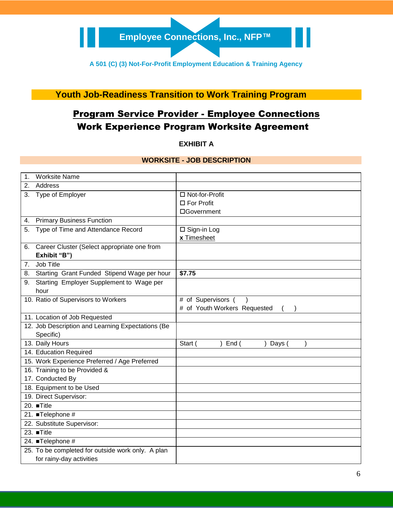**Youth Job-Readiness Transition to Work Training Program**

# Program Service Provider - Employee Connections Work Experience Program Worksite Agreement

### **EXHIBIT A**

### **WORKSITE - JOB DESCRIPTION**

| <b>Worksite Name</b><br>$\mathbf 1$ .             |                                             |                              |
|---------------------------------------------------|---------------------------------------------|------------------------------|
| Address<br>2.                                     |                                             |                              |
| 3. Type of Employer                               |                                             | □ Not-for-Profit             |
|                                                   |                                             | □ For Profit                 |
|                                                   |                                             | □Government                  |
| <b>Primary Business Function</b><br>4.            |                                             |                              |
| Type of Time and Attendance Record<br>5.          |                                             | □ Sign-in Log                |
|                                                   |                                             | x Timesheet                  |
| Career Cluster (Select appropriate one from<br>6. |                                             |                              |
| Exhibit "B")                                      |                                             |                              |
| Job Title<br>7.                                   |                                             |                              |
| 8.                                                | Starting Grant Funded Stipend Wage per hour | \$7.75                       |
| Starting Employer Supplement to Wage per<br>9.    |                                             |                              |
| hour                                              |                                             |                              |
| 10. Ratio of Supervisors to Workers               |                                             | # of Supervisors (           |
|                                                   |                                             | # of Youth Workers Requested |
| 11. Location of Job Requested                     |                                             |                              |
| 12. Job Description and Learning Expectations (Be |                                             |                              |
| Specific)                                         |                                             |                              |
| 13. Daily Hours                                   |                                             | Start (<br>End (<br>Days (   |
| 14. Education Required                            |                                             |                              |
| 15. Work Experience Preferred / Age Preferred     |                                             |                              |
| 16. Training to be Provided &                     |                                             |                              |
| 17. Conducted By                                  |                                             |                              |
| 18. Equipment to be Used                          |                                             |                              |
| 19. Direct Supervisor:                            |                                             |                              |
| 20. ■Title                                        |                                             |                              |
| 21. ■Telephone #                                  |                                             |                              |
| 22. Substitute Supervisor:                        |                                             |                              |
| 23. $\blacksquare$ Title                          |                                             |                              |
| 24. ■Telephone #                                  |                                             |                              |
| 25. To be completed for outside work only. A plan |                                             |                              |
| for rainy-day activities                          |                                             |                              |